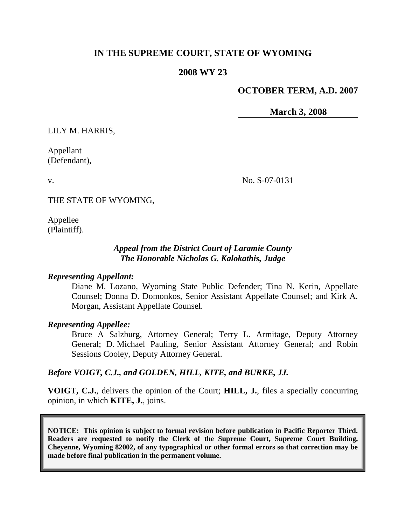# **IN THE SUPREME COURT, STATE OF WYOMING**

### **2008 WY 23**

## **OCTOBER TERM, A.D. 2007**

**March 3, 2008**

LILY M. HARRIS,

Appellant (Defendant),

No. S-07-0131

THE STATE OF WYOMING,

Appellee (Plaintiff).

v.

### *Appeal from the District Court of Laramie County The Honorable Nicholas G. Kalokathis, Judge*

#### *Representing Appellant:*

Diane M. Lozano, Wyoming State Public Defender; Tina N. Kerin, Appellate Counsel; Donna D. Domonkos, Senior Assistant Appellate Counsel; and Kirk A. Morgan, Assistant Appellate Counsel.

#### *Representing Appellee:*

Bruce A Salzburg, Attorney General; Terry L. Armitage, Deputy Attorney General; D. Michael Pauling, Senior Assistant Attorney General; and Robin Sessions Cooley, Deputy Attorney General.

#### *Before VOIGT, C.J., and GOLDEN, HILL, KITE, and BURKE, JJ.*

**VOIGT, C.J.**, delivers the opinion of the Court; **HILL, J.**, files a specially concurring opinion, in which **KITE, J.**, joins.

**NOTICE: This opinion is subject to formal revision before publication in Pacific Reporter Third. Readers are requested to notify the Clerk of the Supreme Court, Supreme Court Building, Cheyenne, Wyoming 82002, of any typographical or other formal errors so that correction may be made before final publication in the permanent volume.**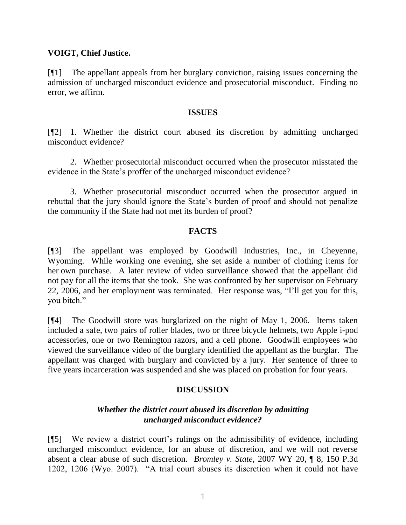### **VOIGT, Chief Justice.**

[¶1] The appellant appeals from her burglary conviction, raising issues concerning the admission of uncharged misconduct evidence and prosecutorial misconduct. Finding no error, we affirm.

### **ISSUES**

[¶2] 1. Whether the district court abused its discretion by admitting uncharged misconduct evidence?

2. Whether prosecutorial misconduct occurred when the prosecutor misstated the evidence in the State"s proffer of the uncharged misconduct evidence?

3. Whether prosecutorial misconduct occurred when the prosecutor argued in rebuttal that the jury should ignore the State"s burden of proof and should not penalize the community if the State had not met its burden of proof?

## **FACTS**

[¶3] The appellant was employed by Goodwill Industries, Inc., in Cheyenne, Wyoming. While working one evening, she set aside a number of clothing items for her own purchase. A later review of video surveillance showed that the appellant did not pay for all the items that she took. She was confronted by her supervisor on February 22, 2006, and her employment was terminated. Her response was, "I"ll get you for this, you bitch."

[¶4] The Goodwill store was burglarized on the night of May 1, 2006. Items taken included a safe, two pairs of roller blades, two or three bicycle helmets, two Apple i-pod accessories, one or two Remington razors, and a cell phone. Goodwill employees who viewed the surveillance video of the burglary identified the appellant as the burglar. The appellant was charged with burglary and convicted by a jury. Her sentence of three to five years incarceration was suspended and she was placed on probation for four years.

## **DISCUSSION**

## *Whether the district court abused its discretion by admitting uncharged misconduct evidence?*

[¶5] We review a district court"s rulings on the admissibility of evidence, including uncharged misconduct evidence, for an abuse of discretion, and we will not reverse absent a clear abuse of such discretion. *Bromley v. State*, 2007 WY 20, ¶ 8, 150 P.3d 1202, 1206 (Wyo. 2007). "A trial court abuses its discretion when it could not have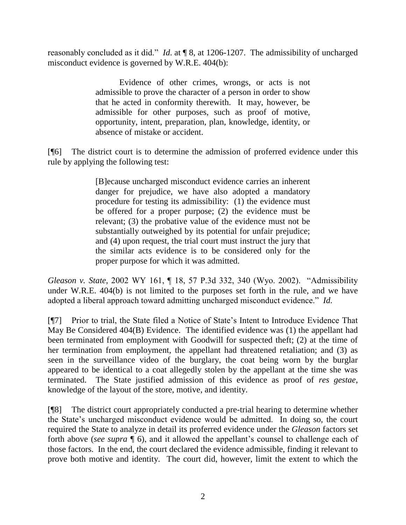reasonably concluded as it did." *Id*. at ¶ 8, at 1206-1207. The admissibility of uncharged misconduct evidence is governed by W.R.E. 404(b):

> Evidence of other crimes, wrongs, or acts is not admissible to prove the character of a person in order to show that he acted in conformity therewith. It may, however, be admissible for other purposes, such as proof of motive, opportunity, intent, preparation, plan, knowledge, identity, or absence of mistake or accident.

[¶6] The district court is to determine the admission of proferred evidence under this rule by applying the following test:

> [B]ecause uncharged misconduct evidence carries an inherent danger for prejudice, we have also adopted a mandatory procedure for testing its admissibility: (1) the evidence must be offered for a proper purpose; (2) the evidence must be relevant; (3) the probative value of the evidence must not be substantially outweighed by its potential for unfair prejudice; and (4) upon request, the trial court must instruct the jury that the similar acts evidence is to be considered only for the proper purpose for which it was admitted.

*Gleason v. State*, 2002 WY 161, ¶ 18, 57 P.3d 332, 340 (Wyo. 2002). "Admissibility under W.R.E. 404(b) is not limited to the purposes set forth in the rule, and we have adopted a liberal approach toward admitting uncharged misconduct evidence." *Id.*

[¶7] Prior to trial, the State filed a Notice of State"s Intent to Introduce Evidence That May Be Considered 404(B) Evidence. The identified evidence was (1) the appellant had been terminated from employment with Goodwill for suspected theft; (2) at the time of her termination from employment, the appellant had threatened retaliation; and (3) as seen in the surveillance video of the burglary, the coat being worn by the burglar appeared to be identical to a coat allegedly stolen by the appellant at the time she was terminated. The State justified admission of this evidence as proof of *res gestae*, knowledge of the layout of the store, motive, and identity.

[¶8] The district court appropriately conducted a pre-trial hearing to determine whether the State"s uncharged misconduct evidence would be admitted. In doing so, the court required the State to analyze in detail its proferred evidence under the *Gleason* factors set forth above (*see supra*  $\P$  6), and it allowed the appellant's counsel to challenge each of those factors. In the end, the court declared the evidence admissible, finding it relevant to prove both motive and identity. The court did, however, limit the extent to which the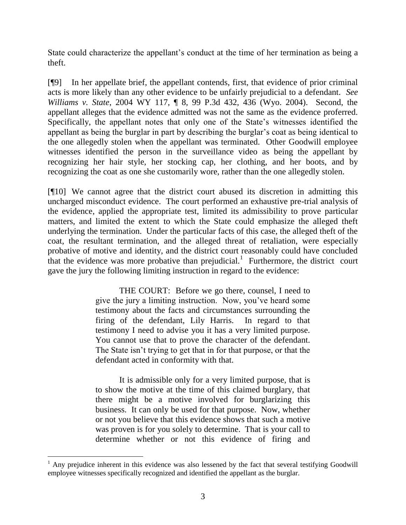State could characterize the appellant's conduct at the time of her termination as being a theft.

[¶9] In her appellate brief, the appellant contends, first, that evidence of prior criminal acts is more likely than any other evidence to be unfairly prejudicial to a defendant. *See Williams v. State*, 2004 WY 117, ¶ 8, 99 P.3d 432, 436 (Wyo. 2004). Second, the appellant alleges that the evidence admitted was not the same as the evidence proferred. Specifically, the appellant notes that only one of the State"s witnesses identified the appellant as being the burglar in part by describing the burglar"s coat as being identical to the one allegedly stolen when the appellant was terminated. Other Goodwill employee witnesses identified the person in the surveillance video as being the appellant by recognizing her hair style, her stocking cap, her clothing, and her boots, and by recognizing the coat as one she customarily wore, rather than the one allegedly stolen.

[¶10] We cannot agree that the district court abused its discretion in admitting this uncharged misconduct evidence. The court performed an exhaustive pre-trial analysis of the evidence, applied the appropriate test, limited its admissibility to prove particular matters, and limited the extent to which the State could emphasize the alleged theft underlying the termination. Under the particular facts of this case, the alleged theft of the coat, the resultant termination, and the alleged threat of retaliation, were especially probative of motive and identity, and the district court reasonably could have concluded that the evidence was more probative than prejudicial.<sup>1</sup> Furthermore, the district court gave the jury the following limiting instruction in regard to the evidence:

> THE COURT: Before we go there, counsel, I need to give the jury a limiting instruction. Now, you"ve heard some testimony about the facts and circumstances surrounding the firing of the defendant, Lily Harris. In regard to that testimony I need to advise you it has a very limited purpose. You cannot use that to prove the character of the defendant. The State isn't trying to get that in for that purpose, or that the defendant acted in conformity with that.

> It is admissible only for a very limited purpose, that is to show the motive at the time of this claimed burglary, that there might be a motive involved for burglarizing this business. It can only be used for that purpose. Now, whether or not you believe that this evidence shows that such a motive was proven is for you solely to determine. That is your call to determine whether or not this evidence of firing and

 $1$  Any prejudice inherent in this evidence was also lessened by the fact that several testifying Goodwill employee witnesses specifically recognized and identified the appellant as the burglar.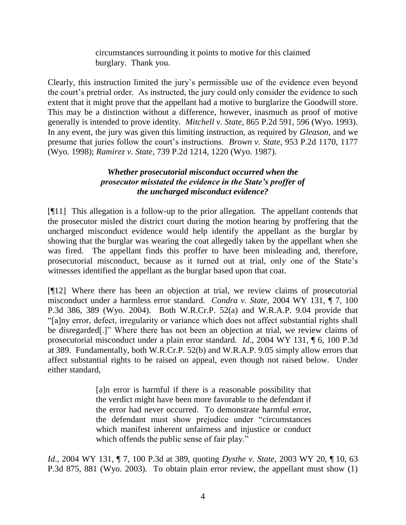circumstances surrounding it points to motive for this claimed burglary. Thank you.

Clearly, this instruction limited the jury"s permissible use of the evidence even beyond the court's pretrial order. As instructed, the jury could only consider the evidence to such extent that it might prove that the appellant had a motive to burglarize the Goodwill store. This may be a distinction without a difference, however, inasmuch as proof of motive generally is intended to prove identity. *Mitchell v. State*, 865 P.2d 591, 596 (Wyo. 1993). In any event, the jury was given this limiting instruction, as required by *Gleason*, and we presume that juries follow the court"s instructions. *Brown v. State*, 953 P.2d 1170, 1177 (Wyo. 1998); *Ramirez v. State*, 739 P.2d 1214, 1220 (Wyo. 1987).

## *Whether prosecutorial misconduct occurred when the prosecutor misstated the evidence in the State's proffer of the uncharged misconduct evidence?*

[¶11] This allegation is a follow-up to the prior allegation. The appellant contends that the prosecutor misled the district court during the motion hearing by proffering that the uncharged misconduct evidence would help identify the appellant as the burglar by showing that the burglar was wearing the coat allegedly taken by the appellant when she was fired. The appellant finds this proffer to have been misleading and, therefore, prosecutorial misconduct, because as it turned out at trial, only one of the State"s witnesses identified the appellant as the burglar based upon that coat.

[¶12] Where there has been an objection at trial, we review claims of prosecutorial misconduct under a harmless error standard. *Condra v. State*, 2004 WY 131, ¶ 7, 100 P.3d 386, 389 (Wyo. 2004). Both W.R.Cr.P. 52(a) and W.R.A.P. 9.04 provide that "[a]ny error, defect, irregularity or variance which does not affect substantial rights shall be disregarded[.]" Where there has not been an objection at trial, we review claims of prosecutorial misconduct under a plain error standard. *Id*., 2004 WY 131, ¶ 6, 100 P.3d at 389. Fundamentally, both W.R.Cr.P. 52(b) and W.R.A.P. 9.05 simply allow errors that affect substantial rights to be raised on appeal, even though not raised below. Under either standard,

> [a]n error is harmful if there is a reasonable possibility that the verdict might have been more favorable to the defendant if the error had never occurred. To demonstrate harmful error, the defendant must show prejudice under "circumstances which manifest inherent unfairness and injustice or conduct which offends the public sense of fair play."

*Id*., 2004 WY 131, ¶ 7, 100 P.3d at 389, quoting *Dysthe v. State*, 2003 WY 20, ¶ 10, 63 P.3d 875, 881 (Wyo. 2003). To obtain plain error review, the appellant must show (1)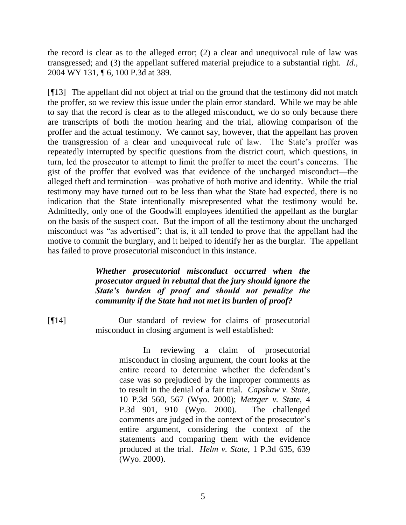the record is clear as to the alleged error; (2) a clear and unequivocal rule of law was transgressed; and (3) the appellant suffered material prejudice to a substantial right. *Id*., 2004 WY 131, ¶ 6, 100 P.3d at 389.

[¶13] The appellant did not object at trial on the ground that the testimony did not match the proffer, so we review this issue under the plain error standard. While we may be able to say that the record is clear as to the alleged misconduct, we do so only because there are transcripts of both the motion hearing and the trial, allowing comparison of the proffer and the actual testimony. We cannot say, however, that the appellant has proven the transgression of a clear and unequivocal rule of law. The State's proffer was repeatedly interrupted by specific questions from the district court, which questions, in turn, led the prosecutor to attempt to limit the proffer to meet the court"s concerns. The gist of the proffer that evolved was that evidence of the uncharged misconduct—the alleged theft and termination—was probative of both motive and identity. While the trial testimony may have turned out to be less than what the State had expected, there is no indication that the State intentionally misrepresented what the testimony would be. Admittedly, only one of the Goodwill employees identified the appellant as the burglar on the basis of the suspect coat. But the import of all the testimony about the uncharged misconduct was "as advertised"; that is, it all tended to prove that the appellant had the motive to commit the burglary, and it helped to identify her as the burglar. The appellant has failed to prove prosecutorial misconduct in this instance.

## *Whether prosecutorial misconduct occurred when the prosecutor argued in rebuttal that the jury should ignore the State's burden of proof and should not penalize the community if the State had not met its burden of proof?*

[¶14] Our standard of review for claims of prosecutorial misconduct in closing argument is well established:

> In reviewing a claim of prosecutorial misconduct in closing argument, the court looks at the entire record to determine whether the defendant's case was so prejudiced by the improper comments as to result in the denial of a fair trial. *Capshaw v. State*, 10 P.3d 560, 567 (Wyo. 2000); *Metzger v. State*, 4 P.3d 901, 910 (Wyo. 2000). The challenged comments are judged in the context of the prosecutor's entire argument, considering the context of the statements and comparing them with the evidence produced at the trial. *Helm v. State*, 1 P.3d 635, 639 (Wyo. 2000).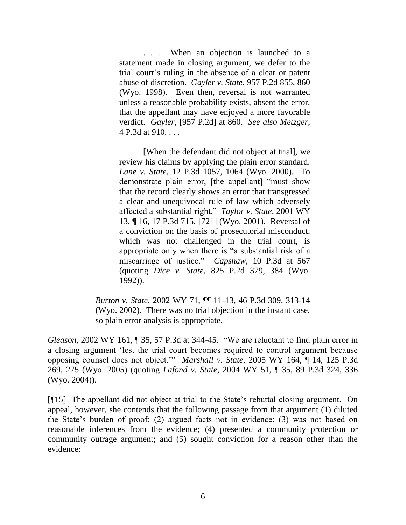. . . When an objection is launched to a statement made in closing argument, we defer to the trial court"s ruling in the absence of a clear or patent abuse of discretion. *Gayler v. State*, 957 P.2d 855, 860 (Wyo. 1998). Even then, reversal is not warranted unless a reasonable probability exists, absent the error, that the appellant may have enjoyed a more favorable verdict. *Gayler*, [957 P.2d] at 860. *See also Metzger*, 4 P.3d at 910. . . .

[When the defendant did not object at trial], we review his claims by applying the plain error standard. *Lane v. State*, 12 P.3d 1057, 1064 (Wyo. 2000). To demonstrate plain error, [the appellant] "must show that the record clearly shows an error that transgressed a clear and unequivocal rule of law which adversely affected a substantial right." *Taylor v. State*, 2001 WY 13, ¶ 16, 17 P.3d 715, [721] (Wyo. 2001). Reversal of a conviction on the basis of prosecutorial misconduct, which was not challenged in the trial court, is appropriate only when there is "a substantial risk of a miscarriage of justice." *Capshaw*, 10 P.3d at 567 (quoting *Dice v. State*, 825 P.2d 379, 384 (Wyo. 1992)).

*Burton v. State*, 2002 WY 71, ¶¶ 11-13, 46 P.3d 309, 313-14 (Wyo. 2002). There was no trial objection in the instant case, so plain error analysis is appropriate.

*Gleason*, 2002 WY 161, ¶ 35, 57 P.3d at 344-45. "We are reluctant to find plain error in a closing argument "lest the trial court becomes required to control argument because opposing counsel does not object."" *Marshall v. State*, 2005 WY 164, ¶ 14, 125 P.3d 269, 275 (Wyo. 2005) (quoting *Lafond v. State*, 2004 WY 51, ¶ 35, 89 P.3d 324, 336 (Wyo. 2004)).

[¶15] The appellant did not object at trial to the State"s rebuttal closing argument. On appeal, however, she contends that the following passage from that argument (1) diluted the State"s burden of proof; (2) argued facts not in evidence; (3) was not based on reasonable inferences from the evidence; (4) presented a community protection or community outrage argument; and (5) sought conviction for a reason other than the evidence: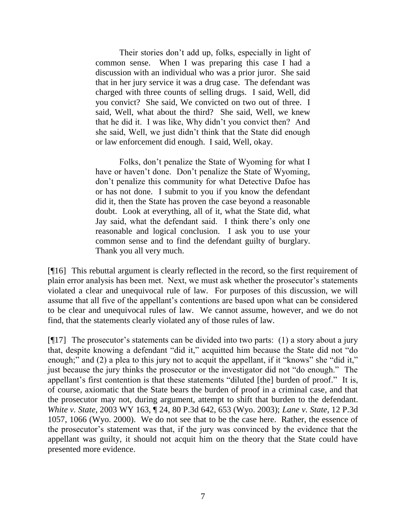Their stories don"t add up, folks, especially in light of common sense. When I was preparing this case I had a discussion with an individual who was a prior juror. She said that in her jury service it was a drug case. The defendant was charged with three counts of selling drugs. I said, Well, did you convict? She said, We convicted on two out of three. I said, Well, what about the third? She said, Well, we knew that he did it. I was like, Why didn"t you convict then? And she said, Well, we just didn"t think that the State did enough or law enforcement did enough. I said, Well, okay.

Folks, don"t penalize the State of Wyoming for what I have or haven't done. Don't penalize the State of Wyoming, don"t penalize this community for what Detective Dafoe has or has not done. I submit to you if you know the defendant did it, then the State has proven the case beyond a reasonable doubt. Look at everything, all of it, what the State did, what Jay said, what the defendant said. I think there"s only one reasonable and logical conclusion. I ask you to use your common sense and to find the defendant guilty of burglary. Thank you all very much.

[¶16] This rebuttal argument is clearly reflected in the record, so the first requirement of plain error analysis has been met. Next, we must ask whether the prosecutor's statements violated a clear and unequivocal rule of law. For purposes of this discussion, we will assume that all five of the appellant"s contentions are based upon what can be considered to be clear and unequivocal rules of law. We cannot assume, however, and we do not find, that the statements clearly violated any of those rules of law.

[ $[17]$ ] The prosecutor's statements can be divided into two parts: (1) a story about a jury that, despite knowing a defendant "did it," acquitted him because the State did not "do enough;" and (2) a plea to this jury not to acquit the appellant, if it "knows" she "did it," just because the jury thinks the prosecutor or the investigator did not "do enough." The appellant's first contention is that these statements "diluted [the] burden of proof." It is, of course, axiomatic that the State bears the burden of proof in a criminal case, and that the prosecutor may not, during argument, attempt to shift that burden to the defendant. *White v. State*, 2003 WY 163, ¶ 24, 80 P.3d 642, 653 (Wyo. 2003); *Lane v. State*, 12 P.3d 1057, 1066 (Wyo. 2000). We do not see that to be the case here. Rather, the essence of the prosecutor's statement was that, if the jury was convinced by the evidence that the appellant was guilty, it should not acquit him on the theory that the State could have presented more evidence.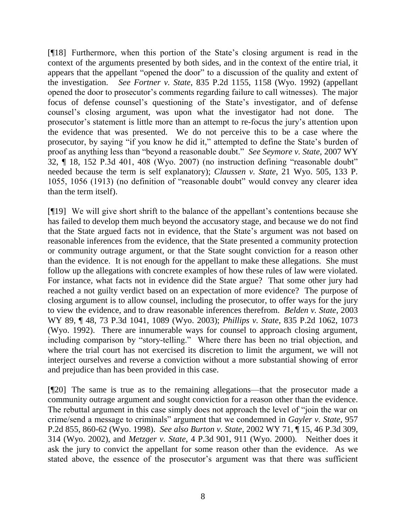[¶18] Furthermore, when this portion of the State"s closing argument is read in the context of the arguments presented by both sides, and in the context of the entire trial, it appears that the appellant "opened the door" to a discussion of the quality and extent of the investigation. *See Fortner v. State*, 835 P.2d 1155, 1158 (Wyo. 1992) (appellant opened the door to prosecutor"s comments regarding failure to call witnesses). The major focus of defense counsel's questioning of the State's investigator, and of defense counsel"s closing argument, was upon what the investigator had not done. The prosecutor's statement is little more than an attempt to re-focus the jury's attention upon the evidence that was presented. We do not perceive this to be a case where the prosecutor, by saying "if you know he did it," attempted to define the State"s burden of proof as anything less than "beyond a reasonable doubt." *See Seymore v. State*, 2007 WY 32, ¶ 18, 152 P.3d 401, 408 (Wyo. 2007) (no instruction defining "reasonable doubt" needed because the term is self explanatory); *Claussen v. State*, 21 Wyo. 505, 133 P. 1055, 1056 (1913) (no definition of "reasonable doubt" would convey any clearer idea than the term itself).

[¶19] We will give short shrift to the balance of the appellant"s contentions because she has failed to develop them much beyond the accusatory stage, and because we do not find that the State argued facts not in evidence, that the State"s argument was not based on reasonable inferences from the evidence, that the State presented a community protection or community outrage argument, or that the State sought conviction for a reason other than the evidence. It is not enough for the appellant to make these allegations. She must follow up the allegations with concrete examples of how these rules of law were violated. For instance, what facts not in evidence did the State argue? That some other jury had reached a not guilty verdict based on an expectation of more evidence? The purpose of closing argument is to allow counsel, including the prosecutor, to offer ways for the jury to view the evidence, and to draw reasonable inferences therefrom. *Belden v. State*, 2003 WY 89, ¶ 48, 73 P.3d 1041, 1089 (Wyo. 2003); *Phillips v. State*, 835 P.2d 1062, 1073 (Wyo. 1992). There are innumerable ways for counsel to approach closing argument, including comparison by "story-telling." Where there has been no trial objection, and where the trial court has not exercised its discretion to limit the argument, we will not interject ourselves and reverse a conviction without a more substantial showing of error and prejudice than has been provided in this case.

[¶20] The same is true as to the remaining allegations—that the prosecutor made a community outrage argument and sought conviction for a reason other than the evidence. The rebuttal argument in this case simply does not approach the level of "join the war on crime/send a message to criminals" argument that we condemned in *Gayler v. State*, 957 P.2d 855, 860-62 (Wyo. 1998). *See also Burton v. State*, 2002 WY 71, ¶ 15, 46 P.3d 309, 314 (Wyo. 2002), and *Metzger v. State*, 4 P.3d 901, 911 (Wyo. 2000). Neither does it ask the jury to convict the appellant for some reason other than the evidence. As we stated above, the essence of the prosecutor's argument was that there was sufficient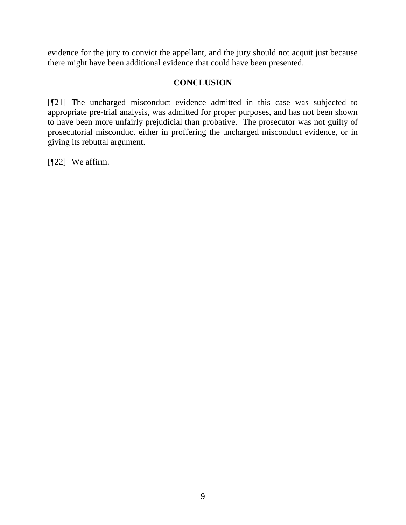evidence for the jury to convict the appellant, and the jury should not acquit just because there might have been additional evidence that could have been presented.

# **CONCLUSION**

[¶21] The uncharged misconduct evidence admitted in this case was subjected to appropriate pre-trial analysis, was admitted for proper purposes, and has not been shown to have been more unfairly prejudicial than probative. The prosecutor was not guilty of prosecutorial misconduct either in proffering the uncharged misconduct evidence, or in giving its rebuttal argument.

[¶22] We affirm.